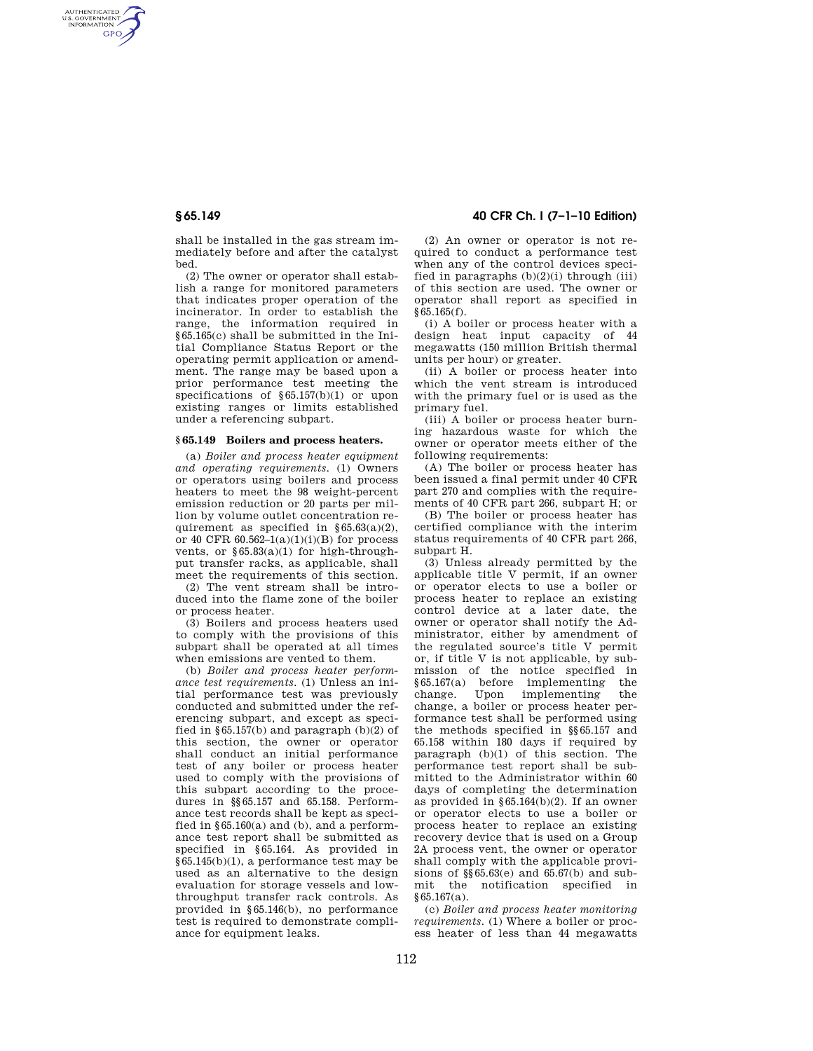AUTHENTICATED<br>U.S. GOVERNMENT<br>INFORMATION **GPO** 

> shall be installed in the gas stream immediately before and after the catalyst bed.

> (2) The owner or operator shall establish a range for monitored parameters that indicates proper operation of the incinerator. In order to establish the range, the information required in §65.165(c) shall be submitted in the Initial Compliance Status Report or the operating permit application or amendment. The range may be based upon a prior performance test meeting the specifications of §65.157(b)(1) or upon existing ranges or limits established under a referencing subpart.

## **§ 65.149 Boilers and process heaters.**

(a) *Boiler and process heater equipment and operating requirements.* (1) Owners or operators using boilers and process heaters to meet the 98 weight-percent emission reduction or 20 parts per million by volume outlet concentration requirement as specified in  $§65.63(a)(2),$ or 40 CFR  $60.562 - 1(a)(1)(i)(B)$  for process vents, or  $§65.83(a)(1)$  for high-throughput transfer racks, as applicable, shall meet the requirements of this section.

(2) The vent stream shall be introduced into the flame zone of the boiler or process heater.

(3) Boilers and process heaters used to comply with the provisions of this subpart shall be operated at all times when emissions are vented to them.

(b) *Boiler and process heater performance test requirements.* (1) Unless an initial performance test was previously conducted and submitted under the referencing subpart, and except as specified in §65.157(b) and paragraph  $(b)(2)$  of this section, the owner or operator shall conduct an initial performance test of any boiler or process heater used to comply with the provisions of this subpart according to the procedures in §§65.157 and 65.158. Performance test records shall be kept as specified in  $§65.160(a)$  and (b), and a performance test report shall be submitted as specified in §65.164. As provided in §65.145(b)(1), a performance test may be used as an alternative to the design evaluation for storage vessels and lowthroughput transfer rack controls. As provided in §65.146(b), no performance test is required to demonstrate compliance for equipment leaks.

# **§ 65.149 40 CFR Ch. I (7–1–10 Edition)**

(2) An owner or operator is not required to conduct a performance test when any of the control devices specified in paragraphs (b)(2)(i) through (iii) of this section are used. The owner or operator shall report as specified in §65.165(f).

(i) A boiler or process heater with a design heat input capacity of 44 megawatts (150 million British thermal units per hour) or greater.

(ii) A boiler or process heater into which the vent stream is introduced with the primary fuel or is used as the primary fuel.

(iii) A boiler or process heater burning hazardous waste for which the owner or operator meets either of the following requirements:

(A) The boiler or process heater has been issued a final permit under 40 CFR part 270 and complies with the requirements of 40 CFR part 266, subpart H; or

(B) The boiler or process heater has certified compliance with the interim status requirements of 40 CFR part 266, subpart H.

(3) Unless already permitted by the applicable title V permit, if an owner or operator elects to use a boiler or process heater to replace an existing control device at a later date, the owner or operator shall notify the Administrator, either by amendment of the regulated source's title V permit or, if title V is not applicable, by submission of the notice specified in §65.167(a) before implementing the Upon implementing the change, a boiler or process heater performance test shall be performed using the methods specified in §§65.157 and 65.158 within 180 days if required by paragraph (b)(1) of this section. The performance test report shall be submitted to the Administrator within 60 days of completing the determination as provided in §65.164(b)(2). If an owner or operator elects to use a boiler or process heater to replace an existing recovery device that is used on a Group 2A process vent, the owner or operator shall comply with the applicable provisions of §§65.63(e) and 65.67(b) and submit the notification specified in  $§65.167(a).$ 

(c) *Boiler and process heater monitoring requirements.* (1) Where a boiler or process heater of less than 44 megawatts